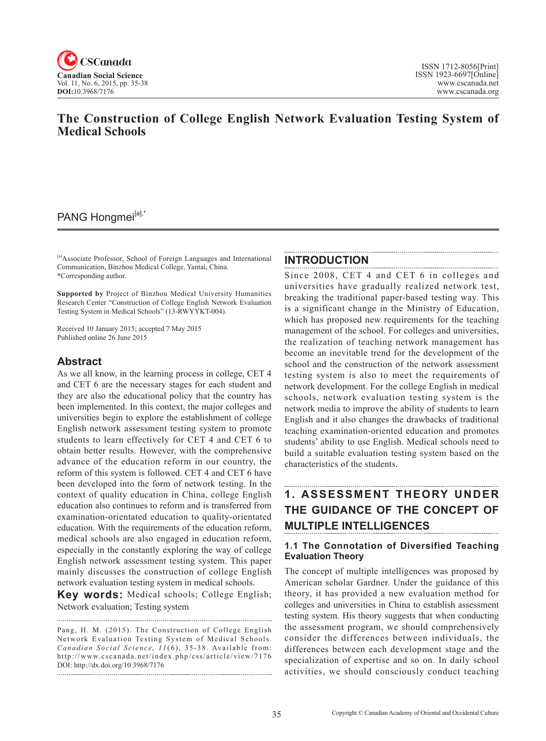

# **The Construction of College English Network Evaluation Testing System of Medical Schools**

# PANG Hongmei<sup>[a],\*</sup>

[a]Associate Professor, School of Foreign Languages and International Communication, Binzhou Medical College, Yantai, China. \*Corresponding author.

**Supported by** Project of Binzhou Medical University Humanities Research Center "Construction of College English Network Evaluation Testing System in Medical Schools" (13-RWYYKT-004).

Received 10 January 2015; accepted 7 May 2015 Published online 26 June 2015

# **Abstract**

As we all know, in the learning process in college, CET 4 and CET 6 are the necessary stages for each student and they are also the educational policy that the country has been implemented. In this context, the major colleges and universities begin to explore the establishment of college English network assessment testing system to promote students to learn effectively for CET 4 and CET 6 to obtain better results. However, with the comprehensive advance of the education reform in our country, the reform of this system is followed. CET 4 and CET 6 have been developed into the form of network testing. In the context of quality education in China, college English education also continues to reform and is transferred from examination-orientated education to quality-orientated education. With the requirements of the education reform, medical schools are also engaged in education reform, especially in the constantly exploring the way of college English network assessment testing system. This paper mainly discusses the construction of college English network evaluation testing system in medical schools.

**Key words:** Medical schools; College English; Network evaluation; Testing system

Pang, H. M. (2015). The Construction of College English Network Evaluation Testing System of Medical Schools. *Canadian Social Science*, <sup>11</sup> (6), 35-38. Available from: http://www.cscanada.net/index.php/css/article/view/7176 DOI: http://dx.doi.org/10.3968/7176 

### **INTRODUCTION**

Since 2008, CET 4 and CET 6 in colleges and universities have gradually realized network test, breaking the traditional paper-based testing way. This is a significant change in the Ministry of Education, which has proposed new requirements for the teaching management of the school. For colleges and universities, the realization of teaching network management has become an inevitable trend for the development of the school and the construction of the network assessment testing system is also to meet the requirements of network development. For the college English in medical schools, network evaluation testing system is the network media to improve the ability of students to learn English and it also changes the drawbacks of traditional teaching examination-oriented education and promotes students' ability to use English. Medical schools need to build a suitable evaluation testing system based on the characteristics of the students.

# **1. ASSESSMENT THEORY UNDER THE GUIDANCE OF THE CONCEPT OF MULTIPLE INTELLIGENCES**

## **1.1 The Connotation of Diversified Teaching Evaluation Theory**

The concept of multiple intelligences was proposed by American scholar Gardner. Under the guidance of this theory, it has provided a new evaluation method for colleges and universities in China to establish assessment testing system. His theory suggests that when conducting the assessment program, we should comprehensively consider the differences between individuals, the differences between each development stage and the specialization of expertise and so on. In daily school activities, we should consciously conduct teaching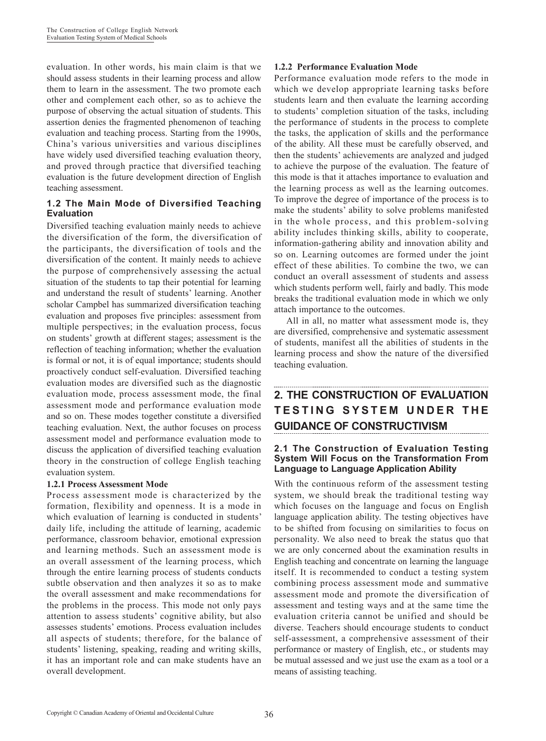evaluation. In other words, his main claim is that we should assess students in their learning process and allow them to learn in the assessment. The two promote each other and complement each other, so as to achieve the purpose of observing the actual situation of students. This assertion denies the fragmented phenomenon of teaching evaluation and teaching process. Starting from the 1990s, China's various universities and various disciplines have widely used diversified teaching evaluation theory, and proved through practice that diversified teaching evaluation is the future development direction of English teaching assessment.

### **1.2 The Main Mode of Diversified Teaching Evaluation**

Diversified teaching evaluation mainly needs to achieve the diversification of the form, the diversification of the participants, the diversification of tools and the diversification of the content. It mainly needs to achieve the purpose of comprehensively assessing the actual situation of the students to tap their potential for learning and understand the result of students' learning. Another scholar Campbel has summarized diversification teaching evaluation and proposes five principles: assessment from multiple perspectives; in the evaluation process, focus on students' growth at different stages; assessment is the reflection of teaching information; whether the evaluation is formal or not, it is of equal importance; students should proactively conduct self-evaluation. Diversified teaching evaluation modes are diversified such as the diagnostic evaluation mode, process assessment mode, the final assessment mode and performance evaluation mode and so on. These modes together constitute a diversified teaching evaluation. Next, the author focuses on process assessment model and performance evaluation mode to discuss the application of diversified teaching evaluation theory in the construction of college English teaching evaluation system.

### **1.2.1 Process Assessment Mode**

Process assessment mode is characterized by the formation, flexibility and openness. It is a mode in which evaluation of learning is conducted in students' daily life, including the attitude of learning, academic performance, classroom behavior, emotional expression and learning methods. Such an assessment mode is an overall assessment of the learning process, which through the entire learning process of students conducts subtle observation and then analyzes it so as to make the overall assessment and make recommendations for the problems in the process. This mode not only pays attention to assess students' cognitive ability, but also assesses students' emotions. Process evaluation includes all aspects of students; therefore, for the balance of students' listening, speaking, reading and writing skills, it has an important role and can make students have an overall development.

#### **1.2.2 Performance Evaluation Mode**

Performance evaluation mode refers to the mode in which we develop appropriate learning tasks before students learn and then evaluate the learning according to students' completion situation of the tasks, including the performance of students in the process to complete the tasks, the application of skills and the performance of the ability. All these must be carefully observed, and then the students' achievements are analyzed and judged to achieve the purpose of the evaluation. The feature of this mode is that it attaches importance to evaluation and the learning process as well as the learning outcomes. To improve the degree of importance of the process is to make the students' ability to solve problems manifested in the whole process, and this problem-solving ability includes thinking skills, ability to cooperate, information-gathering ability and innovation ability and so on. Learning outcomes are formed under the joint effect of these abilities. To combine the two, we can conduct an overall assessment of students and assess which students perform well, fairly and badly. This mode breaks the traditional evaluation mode in which we only attach importance to the outcomes.

All in all, no matter what assessment mode is, they are diversified, comprehensive and systematic assessment of students, manifest all the abilities of students in the learning process and show the nature of the diversified teaching evaluation.

# **2. THE CONSTRUCTION OF EVALUATION T E S T I N G S Y S T E M U N D E R T H E GUIDANCE OF CONSTRUCTIVISM**

### **2.1 The Construction of Evaluation Testing System Will Focus on the Transformation From Language to Language Application Ability**

With the continuous reform of the assessment testing system, we should break the traditional testing way which focuses on the language and focus on English language application ability. The testing objectives have to be shifted from focusing on similarities to focus on personality. We also need to break the status quo that we are only concerned about the examination results in English teaching and concentrate on learning the language itself. It is recommended to conduct a testing system combining process assessment mode and summative assessment mode and promote the diversification of assessment and testing ways and at the same time the evaluation criteria cannot be unified and should be diverse. Teachers should encourage students to conduct self-assessment, a comprehensive assessment of their performance or mastery of English, etc., or students may be mutual assessed and we just use the exam as a tool or a means of assisting teaching.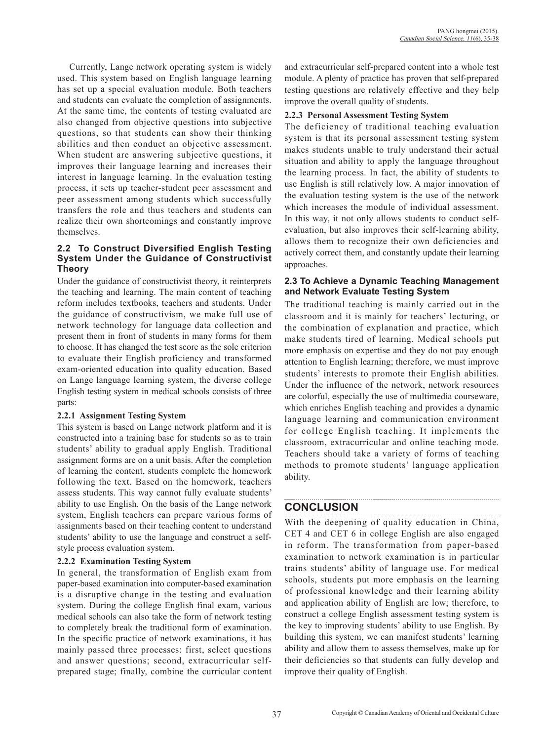Currently, Lange network operating system is widely used. This system based on English language learning has set up a special evaluation module. Both teachers and students can evaluate the completion of assignments. At the same time, the contents of testing evaluated are also changed from objective questions into subjective questions, so that students can show their thinking abilities and then conduct an objective assessment. When student are answering subjective questions, it improves their language learning and increases their interest in language learning. In the evaluation testing process, it sets up teacher-student peer assessment and peer assessment among students which successfully transfers the role and thus teachers and students can realize their own shortcomings and constantly improve themselves.

### **2.2 To Construct Diversified English Testing System Under the Guidance of Constructivist Theory**

Under the guidance of constructivist theory, it reinterprets the teaching and learning. The main content of teaching reform includes textbooks, teachers and students. Under the guidance of constructivism, we make full use of network technology for language data collection and present them in front of students in many forms for them to choose. It has changed the test score as the sole criterion to evaluate their English proficiency and transformed exam-oriented education into quality education. Based on Lange language learning system, the diverse college English testing system in medical schools consists of three parts:

### **2.2.1 Assignment Testing System**

This system is based on Lange network platform and it is constructed into a training base for students so as to train students' ability to gradual apply English. Traditional assignment forms are on a unit basis. After the completion of learning the content, students complete the homework following the text. Based on the homework, teachers assess students. This way cannot fully evaluate students' ability to use English. On the basis of the Lange network system, English teachers can prepare various forms of assignments based on their teaching content to understand students' ability to use the language and construct a selfstyle process evaluation system.

## **2.2.2 Examination Testing System**

In general, the transformation of English exam from paper-based examination into computer-based examination is a disruptive change in the testing and evaluation system. During the college English final exam, various medical schools can also take the form of network testing to completely break the traditional form of examination. In the specific practice of network examinations, it has mainly passed three processes: first, select questions and answer questions; second, extracurricular selfprepared stage; finally, combine the curricular content and extracurricular self-prepared content into a whole test module. A plenty of practice has proven that self-prepared testing questions are relatively effective and they help improve the overall quality of students.

### **2.2.3 Personal Assessment Testing System**

The deficiency of traditional teaching evaluation system is that its personal assessment testing system makes students unable to truly understand their actual situation and ability to apply the language throughout the learning process. In fact, the ability of students to use English is still relatively low. A major innovation of the evaluation testing system is the use of the network which increases the module of individual assessment. In this way, it not only allows students to conduct selfevaluation, but also improves their self-learning ability, allows them to recognize their own deficiencies and actively correct them, and constantly update their learning approaches.

### **2.3 To Achieve a Dynamic Teaching Management and Network Evaluate Testing System**

The traditional teaching is mainly carried out in the classroom and it is mainly for teachers' lecturing, or the combination of explanation and practice, which make students tired of learning. Medical schools put more emphasis on expertise and they do not pay enough attention to English learning; therefore, we must improve students' interests to promote their English abilities. Under the influence of the network, network resources are colorful, especially the use of multimedia courseware, which enriches English teaching and provides a dynamic language learning and communication environment for college English teaching. It implements the classroom, extracurricular and online teaching mode. Teachers should take a variety of forms of teaching methods to promote students' language application ability.

# **CONCLUSION**

With the deepening of quality education in China, CET 4 and CET 6 in college English are also engaged in reform. The transformation from paper-based examination to network examination is in particular trains students' ability of language use. For medical schools, students put more emphasis on the learning of professional knowledge and their learning ability and application ability of English are low; therefore, to construct a college English assessment testing system is the key to improving students' ability to use English. By building this system, we can manifest students' learning ability and allow them to assess themselves, make up for their deficiencies so that students can fully develop and improve their quality of English.